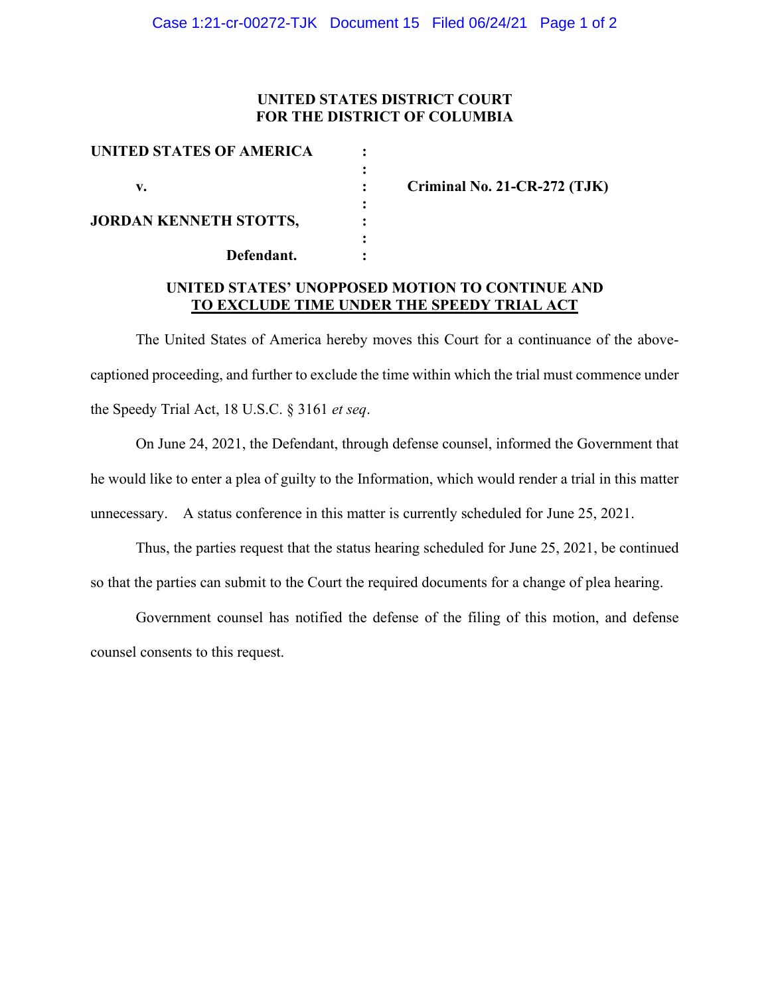## **UNITED STATES DISTRICT COURT FOR THE DISTRICT OF COLUMBIA**

| <b>UNITED STATES OF AMERICA</b> |  |
|---------------------------------|--|
|                                 |  |
| v.                              |  |
|                                 |  |
| <b>JORDAN KENNETH STOTTS,</b>   |  |
|                                 |  |
| Defendant.                      |  |

**v. : Criminal No. 21-CR-272 (TJK)**

#### **UNITED STATES' UNOPPOSED MOTION TO CONTINUE AND TO EXCLUDE TIME UNDER THE SPEEDY TRIAL ACT**

The United States of America hereby moves this Court for a continuance of the abovecaptioned proceeding, and further to exclude the time within which the trial must commence under the Speedy Trial Act, 18 U.S.C. § 3161 *et seq*.

On June 24, 2021, the Defendant, through defense counsel, informed the Government that he would like to enter a plea of guilty to the Information, which would render a trial in this matter unnecessary. A status conference in this matter is currently scheduled for June 25, 2021.

Thus, the parties request that the status hearing scheduled for June 25, 2021, be continued so that the parties can submit to the Court the required documents for a change of plea hearing.

Government counsel has notified the defense of the filing of this motion, and defense counsel consents to this request.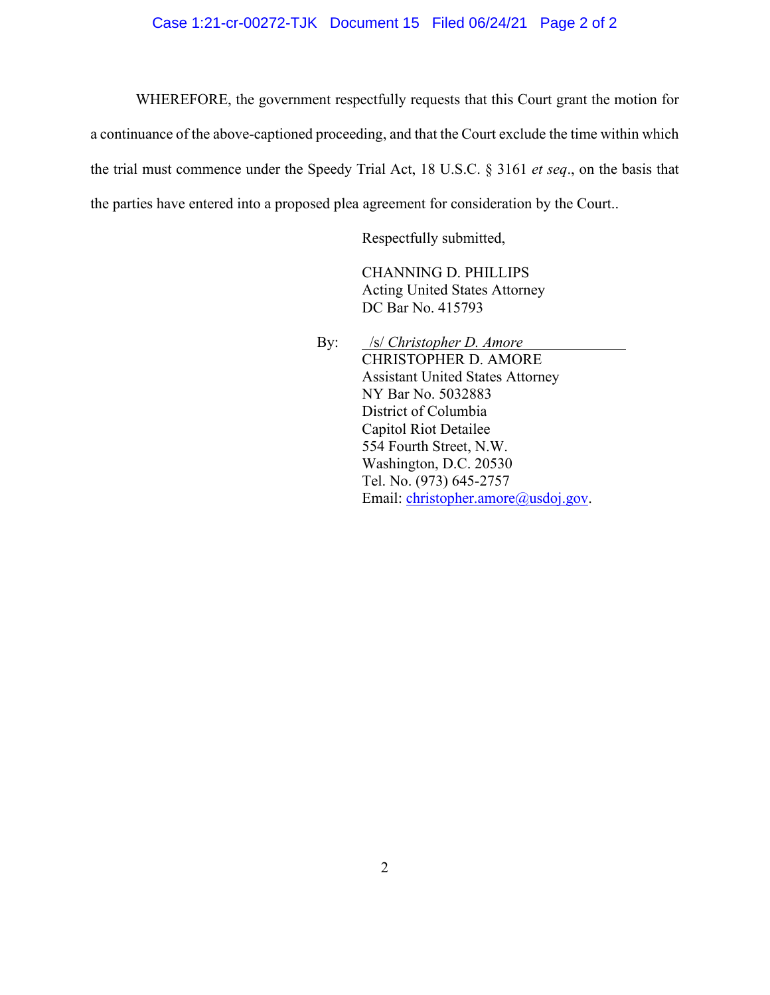WHEREFORE, the government respectfully requests that this Court grant the motion for a continuance of the above-captioned proceeding, and that the Court exclude the time within which the trial must commence under the Speedy Trial Act, 18 U.S.C. § 3161 *et seq*., on the basis that the parties have entered into a proposed plea agreement for consideration by the Court..

Respectfully submitted,

CHANNING D. PHILLIPS Acting United States Attorney DC Bar No. 415793

By: */s/ <i>Christopher D. Amore* CHRISTOPHER D. AMORE Assistant United States Attorney NY Bar No. 5032883 District of Columbia Capitol Riot Detailee 554 Fourth Street, N.W. Washington, D.C. 20530 Tel. No. (973) 645-2757 Email: christopher.amore@usdoj.gov.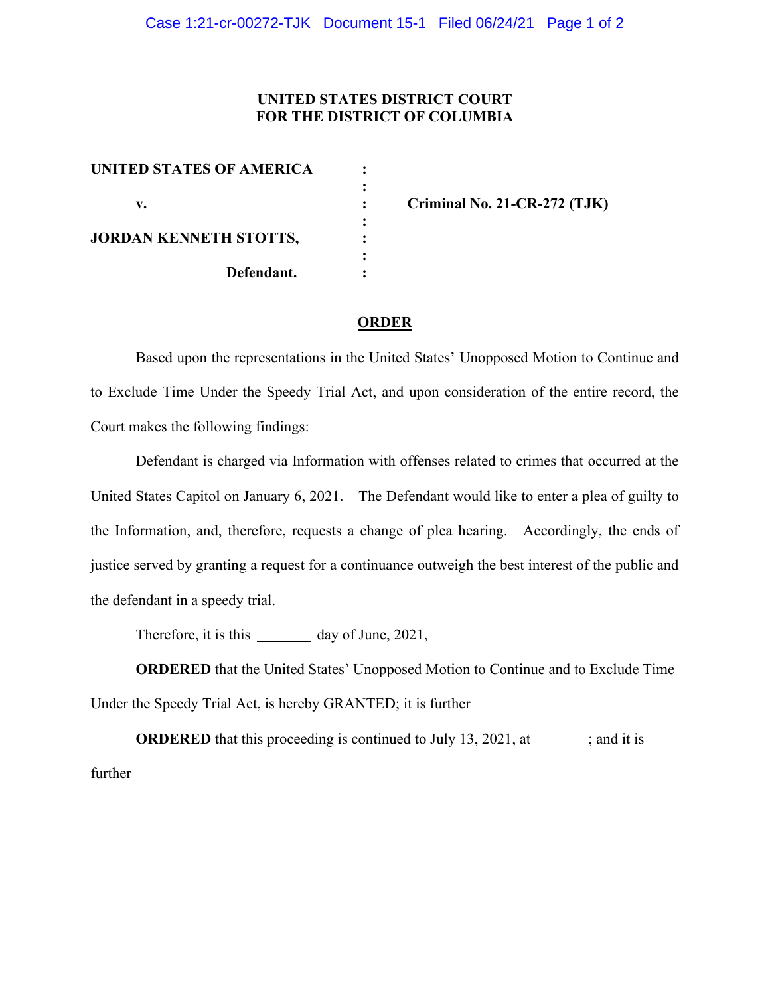### **UNITED STATES DISTRICT COURT FOR THE DISTRICT OF COLUMBIA**

| <b>UNITED STATES OF AMERICA</b> |  |
|---------------------------------|--|
| v.                              |  |
| <b>JORDAN KENNETH STOTTS,</b>   |  |
| Defendant.                      |  |

**v. : Criminal No. 21-CR-272 (TJK)**

#### **ORDER**

Based upon the representations in the United States' Unopposed Motion to Continue and to Exclude Time Under the Speedy Trial Act, and upon consideration of the entire record, the Court makes the following findings:

Defendant is charged via Information with offenses related to crimes that occurred at the United States Capitol on January 6, 2021. The Defendant would like to enter a plea of guilty to the Information, and, therefore, requests a change of plea hearing. Accordingly, the ends of justice served by granting a request for a continuance outweigh the best interest of the public and the defendant in a speedy trial.

Therefore, it is this day of June, 2021,

**ORDERED** that the United States' Unopposed Motion to Continue and to Exclude Time Under the Speedy Trial Act, is hereby GRANTED; it is further

**ORDERED** that this proceeding is continued to July 13, 2021, at ; and it is further